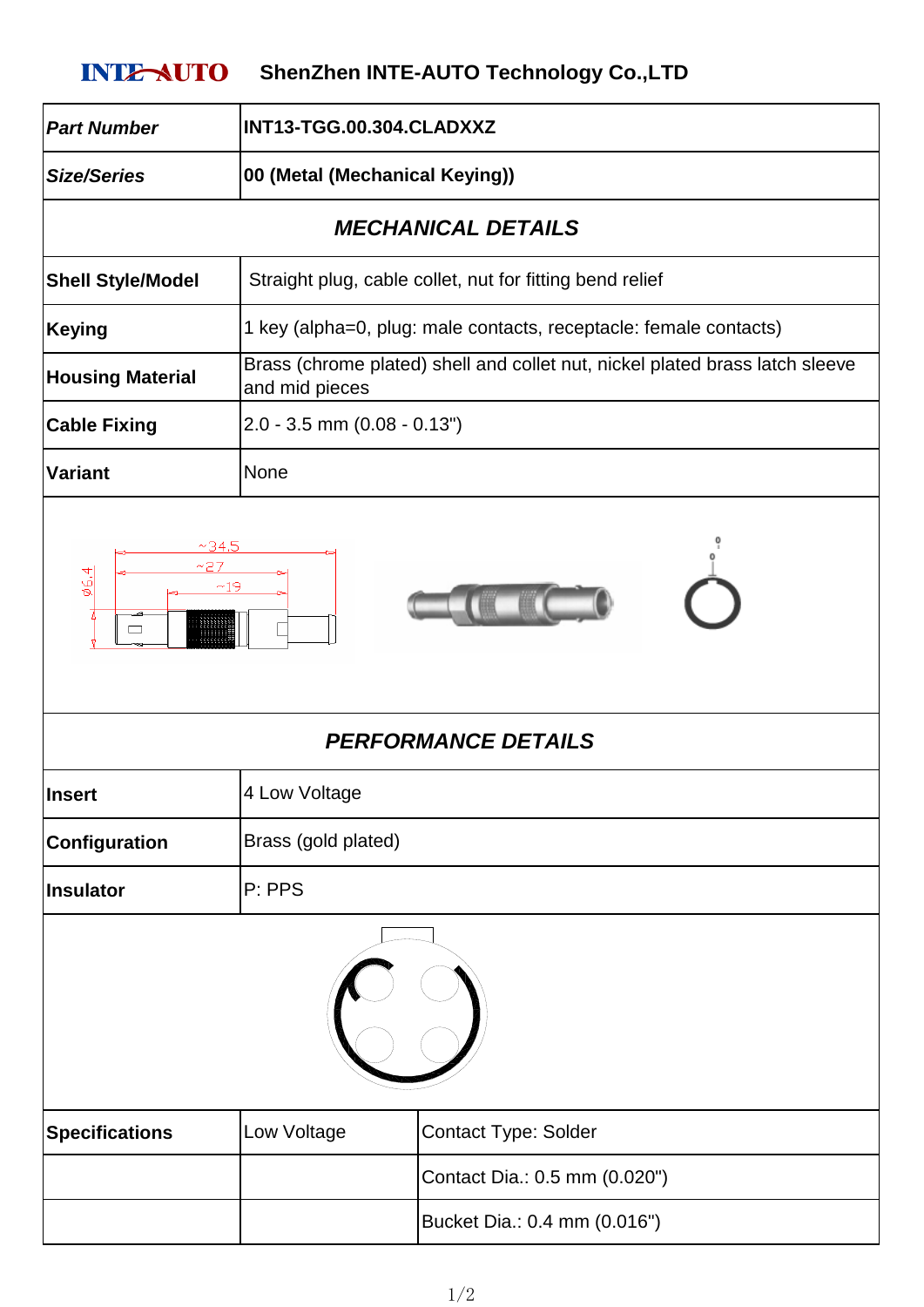## **INTE-AUTO** ShenZhen INTE-AUTO Technology Co.,LTD

| <b>Part Number</b>                                  | INT13-TGG.00.304.CLADXXZ                                                                       |                               |
|-----------------------------------------------------|------------------------------------------------------------------------------------------------|-------------------------------|
| <b>Size/Series</b>                                  | 00 (Metal (Mechanical Keying))                                                                 |                               |
| <b>MECHANICAL DETAILS</b>                           |                                                                                                |                               |
| <b>Shell Style/Model</b>                            | Straight plug, cable collet, nut for fitting bend relief                                       |                               |
| <b>Keying</b>                                       | 1 key (alpha=0, plug: male contacts, receptacle: female contacts)                              |                               |
| <b>Housing Material</b>                             | Brass (chrome plated) shell and collet nut, nickel plated brass latch sleeve<br>and mid pieces |                               |
| <b>Cable Fixing</b>                                 | $2.0 - 3.5$ mm $(0.08 - 0.13")$                                                                |                               |
| <b>Variant</b>                                      | None                                                                                           |                               |
| 66,4<br>~19<br>$\Box$<br><b>PERFORMANCE DETAILS</b> |                                                                                                |                               |
| <b>Insert</b>                                       | 4 Low Voltage                                                                                  |                               |
| Configuration                                       | Brass (gold plated)                                                                            |                               |
| <b>Insulator</b>                                    | P: PPS                                                                                         |                               |
|                                                     |                                                                                                |                               |
| <b>Specifications</b>                               | Low Voltage                                                                                    | <b>Contact Type: Solder</b>   |
|                                                     |                                                                                                | Contact Dia.: 0.5 mm (0.020") |
|                                                     |                                                                                                | Bucket Dia.: 0.4 mm (0.016")  |